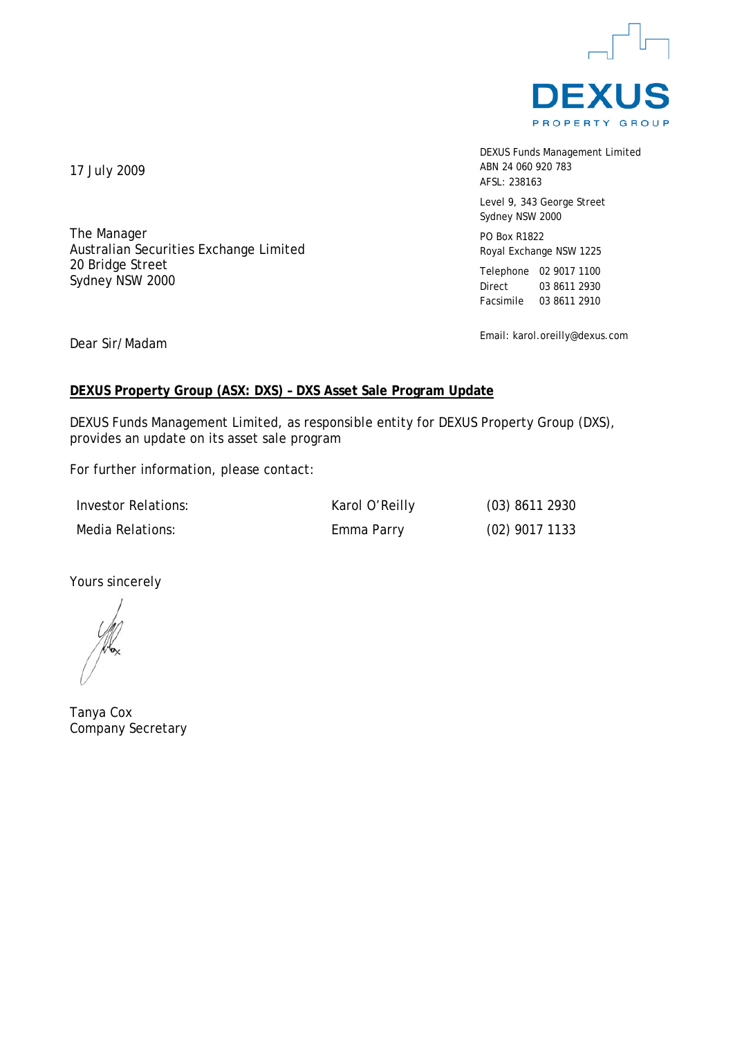

DEXUS Funds Management Limited ABN 24 060 920 783 AFSL: 238163

Level 9, 343 George Street Sydney NSW 2000

PO Box R1822 Royal Exchange NSW 1225

Telephone 02 9017 1100 Direct 03 8611 2930 Facsimile 03 8611 2910

Email: karol.oreilly@dexus.com

17 July 2009

The Manager Australian Securities Exchange Limited 20 Bridge Street Sydney NSW 2000

Dear Sir/Madam

# **DEXUS Property Group (ASX: DXS) – DXS Asset Sale Program Update**

DEXUS Funds Management Limited, as responsible entity for DEXUS Property Group (DXS), provides an update on its asset sale program

For further information, please contact:

Investor Relations: Karol O'Reilly (03) 8611 2930 Media Relations: Emma Parry (02) 9017 1133

Yours sincerely

Tanya Cox Company Secretary